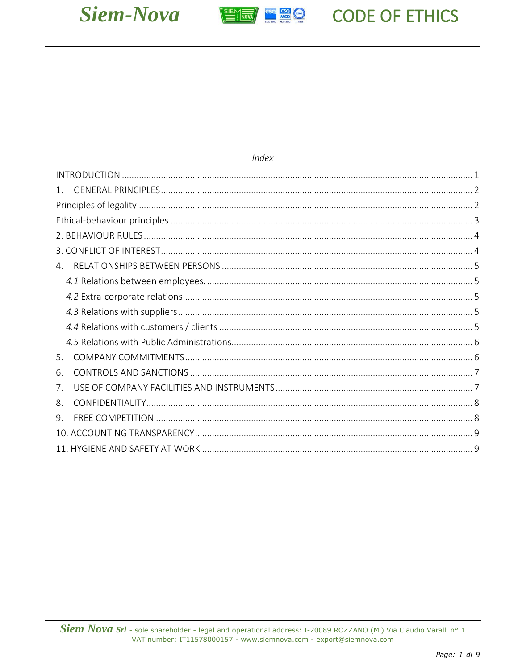



Index

# **CODE OF ETHICS**

<span id="page-0-0"></span>

| 1. |  |
|----|--|
|    |  |
|    |  |
|    |  |
|    |  |
|    |  |
|    |  |
|    |  |
|    |  |
|    |  |
|    |  |
| 5. |  |
| 6. |  |
| 7. |  |
| 8. |  |
| 9. |  |
|    |  |
|    |  |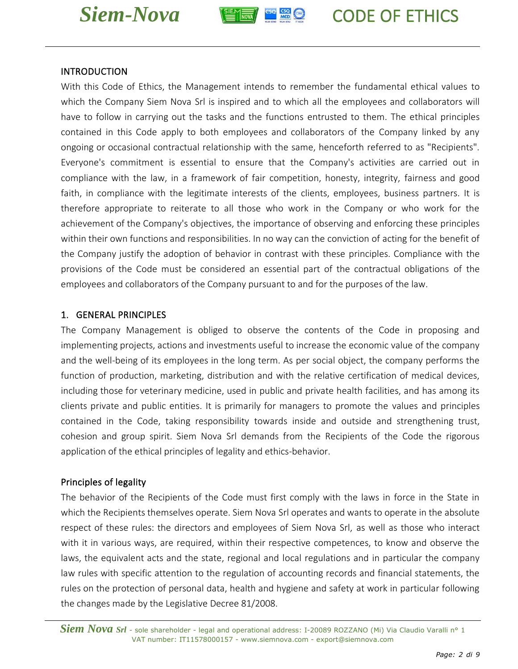



## INTRODUCTION

With this Code of Ethics, the Management intends to remember the fundamental ethical values to which the Company Siem Nova Srl is inspired and to which all the employees and collaborators will have to follow in carrying out the tasks and the functions entrusted to them. The ethical principles contained in this Code apply to both employees and collaborators of the Company linked by any ongoing or occasional contractual relationship with the same, henceforth referred to as "Recipients". Everyone's commitment is essential to ensure that the Company's activities are carried out in compliance with the law, in a framework of fair competition, honesty, integrity, fairness and good faith, in compliance with the legitimate interests of the clients, employees, business partners. It is therefore appropriate to reiterate to all those who work in the Company or who work for the achievement of the Company's objectives, the importance of observing and enforcing these principles within their own functions and responsibilities. In no way can the conviction of acting for the benefit of the Company justify the adoption of behavior in contrast with these principles. Compliance with the provisions of the Code must be considered an essential part of the contractual obligations of the employees and collaborators of the Company pursuant to and for the purposes of the law.

## <span id="page-1-0"></span>1. GENERAL PRINCIPLES

The Company Management is obliged to observe the contents of the Code in proposing and implementing projects, actions and investments useful to increase the economic value of the company and the well-being of its employees in the long term. As per social object, the company performs the function of production, marketing, distribution and with the relative certification of medical devices, including those for veterinary medicine, used in public and private health facilities, and has among its clients private and public entities. It is primarily for managers to promote the values and principles contained in the Code, taking responsibility towards inside and outside and strengthening trust, cohesion and group spirit. Siem Nova Srl demands from the Recipients of the Code the rigorous application of the ethical principles of legality and ethics-behavior.

# <span id="page-1-1"></span>Principles of legality

The behavior of the Recipients of the Code must first comply with the laws in force in the State in which the Recipients themselves operate. Siem Nova Srl operates and wants to operate in the absolute respect of these rules: the directors and employees of Siem Nova Srl, as well as those who interact with it in various ways, are required, within their respective competences, to know and observe the laws, the equivalent acts and the state, regional and local regulations and in particular the company law rules with specific attention to the regulation of accounting records and financial statements, the rules on the protection of personal data, health and hygiene and safety at work in particular following the changes made by the Legislative Decree 81/2008.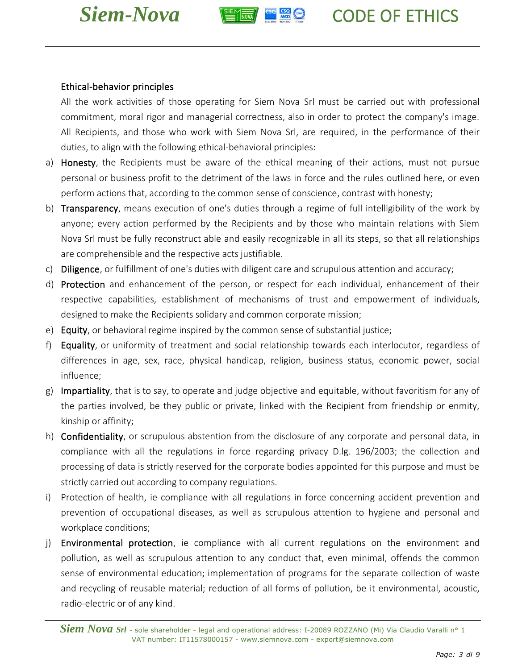



## <span id="page-2-0"></span>Ethical-behavior principles

All the work activities of those operating for Siem Nova Srl must be carried out with professional commitment, moral rigor and managerial correctness, also in order to protect the company's image. All Recipients, and those who work with Siem Nova Srl, are required, in the performance of their duties, to align with the following ethical-behavioral principles:

- a) Honesty, the Recipients must be aware of the ethical meaning of their actions, must not pursue personal or business profit to the detriment of the laws in force and the rules outlined here, or even perform actions that, according to the common sense of conscience, contrast with honesty;
- b) Transparency, means execution of one's duties through a regime of full intelligibility of the work by anyone; every action performed by the Recipients and by those who maintain relations with Siem Nova Srl must be fully reconstruct able and easily recognizable in all its steps, so that all relationships are comprehensible and the respective acts justifiable.
- c) Diligence, or fulfillment of one's duties with diligent care and scrupulous attention and accuracy;
- d) Protection and enhancement of the person, or respect for each individual, enhancement of their respective capabilities, establishment of mechanisms of trust and empowerment of individuals, designed to make the Recipients solidary and common corporate mission;
- e) Equity, or behavioral regime inspired by the common sense of substantial justice;
- f) Equality, or uniformity of treatment and social relationship towards each interlocutor, regardless of differences in age, sex, race, physical handicap, religion, business status, economic power, social influence;
- g) Impartiality, that is to say, to operate and judge objective and equitable, without favoritism for any of the parties involved, be they public or private, linked with the Recipient from friendship or enmity, kinship or affinity;
- h) Confidentiality, or scrupulous abstention from the disclosure of any corporate and personal data, in compliance with all the regulations in force regarding privacy D.lg. 196/2003; the collection and processing of data is strictly reserved for the corporate bodies appointed for this purpose and must be strictly carried out according to company regulations.
- i) Protection of health, ie compliance with all regulations in force concerning accident prevention and prevention of occupational diseases, as well as scrupulous attention to hygiene and personal and workplace conditions;
- j) Environmental protection, ie compliance with all current regulations on the environment and pollution, as well as scrupulous attention to any conduct that, even minimal, offends the common sense of environmental education; implementation of programs for the separate collection of waste and recycling of reusable material; reduction of all forms of pollution, be it environmental, acoustic, radio-electric or of any kind.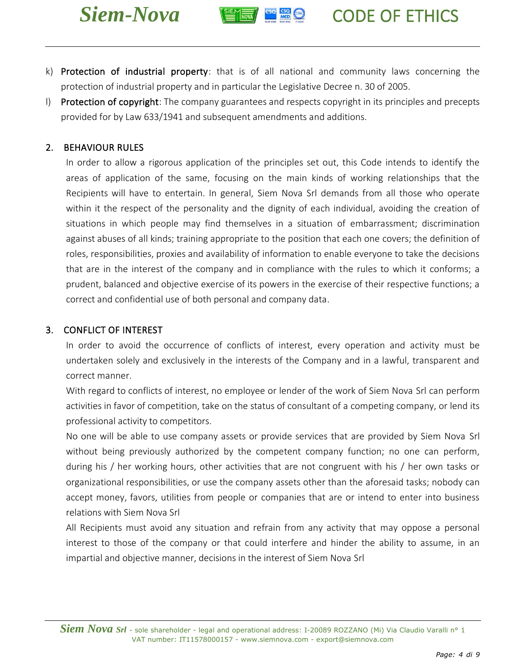



- k) Protection of industrial property: that is of all national and community laws concerning the protection of industrial property and in particular the Legislative Decree n. 30 of 2005.
- I) Protection of copyright: The company guarantees and respects copyright in its principles and precepts provided for by Law 633/1941 and subsequent amendments and additions.

## <span id="page-3-0"></span>2. BEHAVIOUR RULES

In order to allow a rigorous application of the principles set out, this Code intends to identify the areas of application of the same, focusing on the main kinds of working relationships that the Recipients will have to entertain. In general, Siem Nova Srl demands from all those who operate within it the respect of the personality and the dignity of each individual, avoiding the creation of situations in which people may find themselves in a situation of embarrassment; discrimination against abuses of all kinds; training appropriate to the position that each one covers; the definition of roles, responsibilities, proxies and availability of information to enable everyone to take the decisions that are in the interest of the company and in compliance with the rules to which it conforms; a prudent, balanced and objective exercise of its powers in the exercise of their respective functions; a correct and confidential use of both personal and company data.

### <span id="page-3-1"></span>3. CONFLICT OF INTEREST

In order to avoid the occurrence of conflicts of interest, every operation and activity must be undertaken solely and exclusively in the interests of the Company and in a lawful, transparent and correct manner.

With regard to conflicts of interest, no employee or lender of the work of Siem Nova Srl can perform activities in favor of competition, take on the status of consultant of a competing company, or lend its professional activity to competitors.

No one will be able to use company assets or provide services that are provided by Siem Nova Srl without being previously authorized by the competent company function; no one can perform, during his / her working hours, other activities that are not congruent with his / her own tasks or organizational responsibilities, or use the company assets other than the aforesaid tasks; nobody can accept money, favors, utilities from people or companies that are or intend to enter into business relations with Siem Nova Srl

All Recipients must avoid any situation and refrain from any activity that may oppose a personal interest to those of the company or that could interfere and hinder the ability to assume, in an impartial and objective manner, decisions in the interest of Siem Nova Srl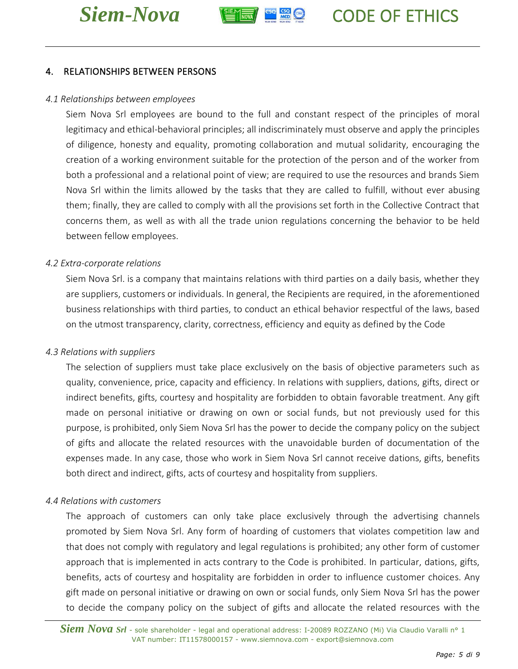



# <span id="page-4-0"></span>4. RELATIONSHIPS BETWEEN PERSONS

#### <span id="page-4-1"></span>*4.1 Relationships between employees*

Siem Nova Srl employees are bound to the full and constant respect of the principles of moral legitimacy and ethical-behavioral principles; all indiscriminately must observe and apply the principles of diligence, honesty and equality, promoting collaboration and mutual solidarity, encouraging the creation of a working environment suitable for the protection of the person and of the worker from both a professional and a relational point of view; are required to use the resources and brands Siem Nova Srl within the limits allowed by the tasks that they are called to fulfill, without ever abusing them; finally, they are called to comply with all the provisions set forth in the Collective Contract that concerns them, as well as with all the trade union regulations concerning the behavior to be held between fellow employees.

#### <span id="page-4-2"></span>*4.2 Extra-corporate relations*

Siem Nova Srl. is a company that maintains relations with third parties on a daily basis, whether they are suppliers, customers or individuals. In general, the Recipients are required, in the aforementioned business relationships with third parties, to conduct an ethical behavior respectful of the laws, based on the utmost transparency, clarity, correctness, efficiency and equity as defined by the Code

#### <span id="page-4-3"></span>*4.3 Relations with suppliers*

The selection of suppliers must take place exclusively on the basis of objective parameters such as quality, convenience, price, capacity and efficiency. In relations with suppliers, dations, gifts, direct or indirect benefits, gifts, courtesy and hospitality are forbidden to obtain favorable treatment. Any gift made on personal initiative or drawing on own or social funds, but not previously used for this purpose, is prohibited, only Siem Nova Srl has the power to decide the company policy on the subject of gifts and allocate the related resources with the unavoidable burden of documentation of the expenses made. In any case, those who work in Siem Nova Srl cannot receive dations, gifts, benefits both direct and indirect, gifts, acts of courtesy and hospitality from suppliers.

#### <span id="page-4-4"></span>*4.4 Relations with customers*

The approach of customers can only take place exclusively through the advertising channels promoted by Siem Nova Srl. Any form of hoarding of customers that violates competition law and that does not comply with regulatory and legal regulations is prohibited; any other form of customer approach that is implemented in acts contrary to the Code is prohibited. In particular, dations, gifts, benefits, acts of courtesy and hospitality are forbidden in order to influence customer choices. Any gift made on personal initiative or drawing on own or social funds, only Siem Nova Srl has the power to decide the company policy on the subject of gifts and allocate the related resources with the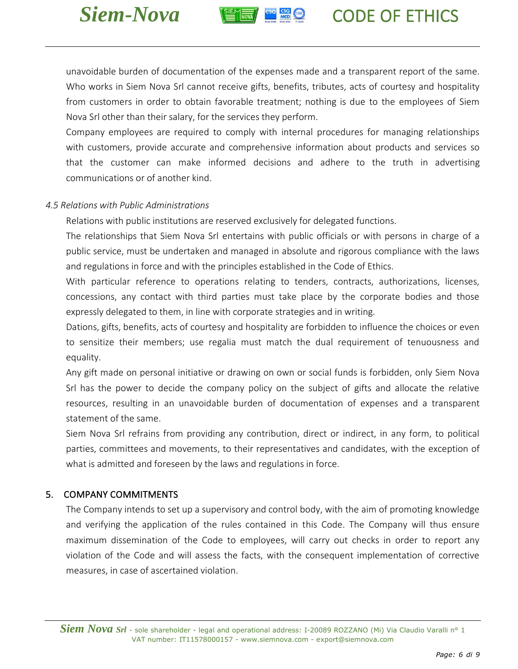



unavoidable burden of documentation of the expenses made and a transparent report of the same. Who works in Siem Nova Srl cannot receive gifts, benefits, tributes, acts of courtesy and hospitality from customers in order to obtain favorable treatment; nothing is due to the employees of Siem Nova Srl other than their salary, for the services they perform.

Company employees are required to comply with internal procedures for managing relationships with customers, provide accurate and comprehensive information about products and services so that the customer can make informed decisions and adhere to the truth in advertising communications or of another kind.

## <span id="page-5-0"></span>*4.5 Relations with Public Administrations*

Relations with public institutions are reserved exclusively for delegated functions.

The relationships that Siem Nova Srl entertains with public officials or with persons in charge of a public service, must be undertaken and managed in absolute and rigorous compliance with the laws and regulations in force and with the principles established in the Code of Ethics.

With particular reference to operations relating to tenders, contracts, authorizations, licenses, concessions, any contact with third parties must take place by the corporate bodies and those expressly delegated to them, in line with corporate strategies and in writing.

Dations, gifts, benefits, acts of courtesy and hospitality are forbidden to influence the choices or even to sensitize their members; use regalia must match the dual requirement of tenuousness and equality.

Any gift made on personal initiative or drawing on own or social funds is forbidden, only Siem Nova Srl has the power to decide the company policy on the subject of gifts and allocate the relative resources, resulting in an unavoidable burden of documentation of expenses and a transparent statement of the same.

Siem Nova Srl refrains from providing any contribution, direct or indirect, in any form, to political parties, committees and movements, to their representatives and candidates, with the exception of what is admitted and foreseen by the laws and regulations in force.

# <span id="page-5-1"></span>5. COMPANY COMMITMENTS

The Company intends to set up a supervisory and control body, with the aim of promoting knowledge and verifying the application of the rules contained in this Code. The Company will thus ensure maximum dissemination of the Code to employees, will carry out checks in order to report any violation of the Code and will assess the facts, with the consequent implementation of corrective measures, in case of ascertained violation.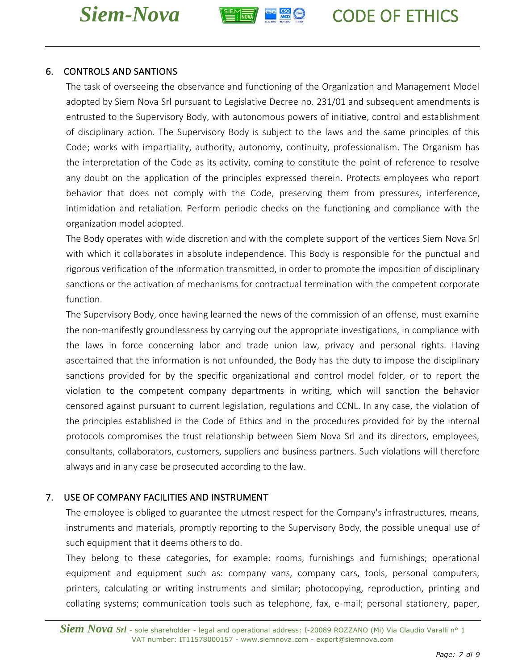



# <span id="page-6-0"></span>6. CONTROLS AND SANTIONS

The task of overseeing the observance and functioning of the Organization and Management Model adopted by Siem Nova Srl pursuant to Legislative Decree no. 231/01 and subsequent amendments is entrusted to the Supervisory Body, with autonomous powers of initiative, control and establishment of disciplinary action. The Supervisory Body is subject to the laws and the same principles of this Code; works with impartiality, authority, autonomy, continuity, professionalism. The Organism has the interpretation of the Code as its activity, coming to constitute the point of reference to resolve any doubt on the application of the principles expressed therein. Protects employees who report behavior that does not comply with the Code, preserving them from pressures, interference, intimidation and retaliation. Perform periodic checks on the functioning and compliance with the organization model adopted.

The Body operates with wide discretion and with the complete support of the vertices Siem Nova Srl with which it collaborates in absolute independence. This Body is responsible for the punctual and rigorous verification of the information transmitted, in order to promote the imposition of disciplinary sanctions or the activation of mechanisms for contractual termination with the competent corporate function.

The Supervisory Body, once having learned the news of the commission of an offense, must examine the non-manifestly groundlessness by carrying out the appropriate investigations, in compliance with the laws in force concerning labor and trade union law, privacy and personal rights. Having ascertained that the information is not unfounded, the Body has the duty to impose the disciplinary sanctions provided for by the specific organizational and control model folder, or to report the violation to the competent company departments in writing, which will sanction the behavior censored against pursuant to current legislation, regulations and CCNL. In any case, the violation of the principles established in the Code of Ethics and in the procedures provided for by the internal protocols compromises the trust relationship between Siem Nova Srl and its directors, employees, consultants, collaborators, customers, suppliers and business partners. Such violations will therefore always and in any case be prosecuted according to the law.

# <span id="page-6-1"></span>7. USE OF COMPANY FACILITIES AND INSTRUMENT

The employee is obliged to guarantee the utmost respect for the Company's infrastructures, means, instruments and materials, promptly reporting to the Supervisory Body, the possible unequal use of such equipment that it deems others to do.

They belong to these categories, for example: rooms, furnishings and furnishings; operational equipment and equipment such as: company vans, company cars, tools, personal computers, printers, calculating or writing instruments and similar; photocopying, reproduction, printing and collating systems; communication tools such as telephone, fax, e-mail; personal stationery, paper,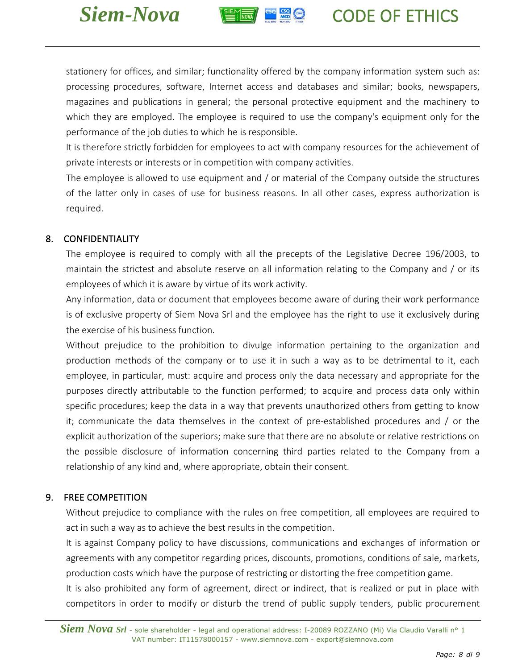



stationery for offices, and similar; functionality offered by the company information system such as: processing procedures, software, Internet access and databases and similar; books, newspapers, magazines and publications in general; the personal protective equipment and the machinery to which they are employed. The employee is required to use the company's equipment only for the performance of the job duties to which he is responsible.

It is therefore strictly forbidden for employees to act with company resources for the achievement of private interests or interests or in competition with company activities.

The employee is allowed to use equipment and / or material of the Company outside the structures of the latter only in cases of use for business reasons. In all other cases, express authorization is required.

# <span id="page-7-0"></span>8. CONFIDENTIALITY

The employee is required to comply with all the precepts of the Legislative Decree 196/2003, to maintain the strictest and absolute reserve on all information relating to the Company and / or its employees of which it is aware by virtue of its work activity.

Any information, data or document that employees become aware of during their work performance is of exclusive property of Siem Nova Srl and the employee has the right to use it exclusively during the exercise of his business function.

Without prejudice to the prohibition to divulge information pertaining to the organization and production methods of the company or to use it in such a way as to be detrimental to it, each employee, in particular, must: acquire and process only the data necessary and appropriate for the purposes directly attributable to the function performed; to acquire and process data only within specific procedures; keep the data in a way that prevents unauthorized others from getting to know it; communicate the data themselves in the context of pre-established procedures and / or the explicit authorization of the superiors; make sure that there are no absolute or relative restrictions on the possible disclosure of information concerning third parties related to the Company from a relationship of any kind and, where appropriate, obtain their consent.

# <span id="page-7-1"></span>9. FREE COMPETITION

Without prejudice to compliance with the rules on free competition, all employees are required to act in such a way as to achieve the best results in the competition.

It is against Company policy to have discussions, communications and exchanges of information or agreements with any competitor regarding prices, discounts, promotions, conditions of sale, markets, production costs which have the purpose of restricting or distorting the free competition game.

It is also prohibited any form of agreement, direct or indirect, that is realized or put in place with competitors in order to modify or disturb the trend of public supply tenders, public procurement